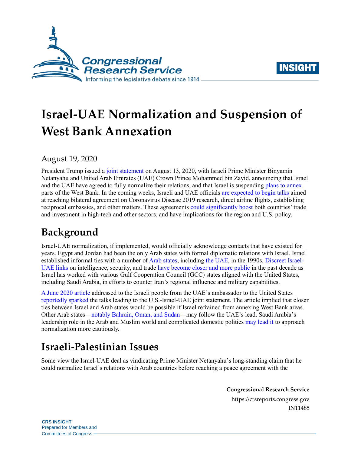



# **Israel-UAE Normalization and Suspension of West Bank Annexation**

August 19, 2020

President Trump issued a [joint statement](https://www.whitehouse.gov/briefings-statements/joint-statement-united-states-state-israel-united-arab-emirates/) on August 13, 2020, with Israeli Prime Minister Binyamin Netanyahu and United Arab Emirates (UAE) Crown Prince Mohammed bin Zayid, announcing that Israel and the UAE have agreed to fully normalize their relations, and that Israel is suspending [plans to annex](https://crsreports.congress.gov/product/pdf/R/R46433) parts of the West Bank. In the coming weeks, Israeli and UAE officials [are expected to begin talks](https://www.uae-embassy.org/ambassador-yousef-al-otaiba-statement-regarding-announcement-between-israel-and-united-arab-emirates) aimed at reaching bilateral agreement on Coronavirus Disease 2019 research, direct airline flights, establishing reciprocal embassies, and other matters. These agreements [could significantly boost b](https://www.timesofisrael.com/as-israel-uae-ties-come-out-of-closet-businesses-are-abuzz-with-excitement/)oth countries' trade and investment in high-tech and other sectors, and have implications for the region and U.S. policy.

## **Background**

Israel-UAE normalization, if implemented, would officially acknowledge contacts that have existed for years. Egypt and Jordan had been the only Arab states with formal diplomatic relations with Israel. Israel established informal ties with a number of [Arab states,](https://www.washingtonpost.com/world/2020/08/15/israels-relations-middle-east-explained/) including [the UAE,](https://www.newyorker.com/magazine/2018/06/18/donald-trumps-new-world-order) in the 1990s. [Discreet Israel-](https://www.washingtonpost.com/world/middle_east/inside-the-secret-not-secret-courtship-between-israel-and-the-united-arab-emirates/2020/08/14/3881d408-de26-11ea-b4f1-25b762cdbbf4_story.html)[UAE links](https://www.washingtonpost.com/world/middle_east/inside-the-secret-not-secret-courtship-between-israel-and-the-united-arab-emirates/2020/08/14/3881d408-de26-11ea-b4f1-25b762cdbbf4_story.html) on intelligence, security, and trade [have become closer and more public](https://jiss.org.il/en/krasna-tempered-euphoria-on-the-uae-israel-agreement/) in the past decade as Israel has worked with various Gulf Cooperation Council (GCC) states aligned with the United States, including Saudi Arabia, in efforts to counter Iran's regional influence and military capabilities.

[A June 2020 article](https://www.ynetnews.com/article/H1Gu1ceTL) addressed to the Israeli people from the UAE's ambassador to the United States [reportedly sparked](https://www.timesofisrael.com/after-israel-uae-deal-kushner-indicates-more-arab-countries-will-follow/) the talks leading to the U.S.-Israel-UAE joint statement. The article implied that closer ties between Israel and Arab states would be possible if Israel refrained from annexing West Bank areas. Other Arab states[—notably Bahrain, Oman, and Sudan—](https://www.timesofisrael.com/sudan-and-israel-say-talks-underway-for-deal-to-normalize-ties/)may follow the UAE's lead. Saudi Arabia's leadership role in the Arab and Muslim world and complicated domestic politics [may lead it](https://foreignpolicy.com/2020/08/13/in-historic-deal-with-the-uae-israel-is-the-biggest-winner/?utm_source=PostUp&utm_medium=email&utm_campaign=24226&utm_term=Editors%20Picks%20OC&?tpcc=24226) to approach normalization more cautiously.

# **Israeli-Palestinian Issues**

Some view the Israel-UAE deal as vindicating Prime Minister Netanyahu's long-standing claim that he could normalize Israel's relations with Arab countries before reaching a peace agreement with the

> **Congressional Research Service** https://crsreports.congress.gov IN11485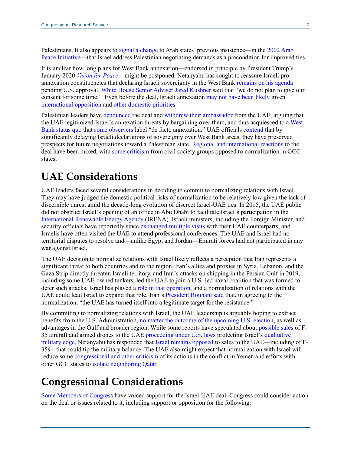Palestinians. It also appears to [signal a change t](https://www.politico.com/news/magazine/2020/08/14/trump-mideast-israel-uae-deal-395567)o Arab states' previous insistence—in the [2002 Arab](http://www.bitterlemons.org/docs/summit.html)  [Peace Initiative—](http://www.bitterlemons.org/docs/summit.html)that Israel address Palestinian negotiating demands as a precondition for improved ties.

It is unclear how long plans for West Bank annexation—endorsed in principle by President Trump's January 2020 *[Vision for Peace](https://www.whitehouse.gov/wp-content/uploads/2020/01/Peace-to-Prosperity-0120.pdf)*—might be postponed. Netanyahu has sought to reassure Israeli proannexation constituencies that declaring Israeli sovereignty in the West Bank [remains on his agenda](https://foreignpolicy.com/2020/08/13/israel-uae-normalization-west-bank-annexation/) pending U.S. approval. [White House Senior Adviser Jared Kushner](https://www.reuters.com/article/us-israel-emirates-usa/u-s-wont-approve-israeli-annexations-for-some-time-kushner-says-idUSKCN25D1RG) said that "we do not plan to give our consent for some time." Even before the deal, Israeli annexation [may not have been likely g](https://jiss.org.il/en/krasna-tempered-euphoria-on-the-uae-israel-agreement/)iven [international opposition](https://crsreports.congress.gov/product/pdf/R/R46433#_Toc45638709) and [other domestic priorities.](https://crsreports.congress.gov/product/pdf/R/R46433#_Toc45638701)

Palestinian leaders have [denounced](https://www.nytimes.com/2020/08/14/world/middleeast/palestinians-israel-uae-annexation-peace.html) the deal an[d withdrew their ambassador](https://www.newyorker.com/news/our-columnists/israel-peace-deal-united-arab-emirates-transforms-the-middle-east) from the UAE, arguing that the UAE legitimized Israel's annexation threats by bargaining over them, and thus acquiesced to [a West](https://crsreports.congress.gov/product/pdf/R/R46433#_Toc45638683)  [Bank status quo](https://crsreports.congress.gov/product/pdf/R/R46433#_Toc45638683) that [some observers](https://prospect.org/world/waiting-for-annexation-israel-palestine/) label "de facto annexation." UAE officials [contend](https://www.timesofisrael.com/uae-minister-vows-to-push-forward-with-normalization-deal-as-soon-as-possible/) that by significantly delaying Israeli declarations of sovereignty over West Bank areas, they have preserved prospects for future negotiations toward a Palestinian state. [Regional and international reactions](https://www.aljazeera.com/news/2020/08/world-reacted-uae-israel-normalising-diplomatic-ties-200813152921879.html) to the deal have been mixed, with [some criticism](https://twitter.com/elhamfakhro/status/1294943746430312448) from civil society groups opposed to normalization in GCC states.

### **UAE Considerations**

UAE leaders faced several considerations in deciding to commit to normalizing relations with Israel. They may have judged the domestic political risks of normalization to be relatively low given the lack of discernible unrest amid the decade-long evolution of discreet Israel-UAE ties. In 2015, the UAE public did not obstruct Israel's opening of an office in Abu Dhabi to facilitate Israel's participation in the [International Renewable Energy Agency](https://www.washingtoninstitute.org/policy-analysis/view/israels-gulf-breakthrough) (IRENA). Israeli ministers, including the Foreign Minister, and security officials have reportedly since [exchanged multiple visits](https://thehill.com/opinion/international/511952-the-slow-but-steady-progress-to-israels-peace-with-the-uae) with their UAE counterparts, and Israelis have often visited the UAE to attend professional conferences. The UAE and Israel had no territorial disputes to resolve and—unlike Egypt and Jordan—Emirati forces had not participated in any war against Israel.

The UAE decision to normalize relations with Israel likely reflects a perception that Iran represents a significant threat to both countries and to the region. Iran's allies and proxies in Syria, Lebanon, and the Gaza Strip directly threaten Israeli territory, and Iran's attacks on shipping in the Persian Gulf in 2019, including some UAE-owned tankers, led the UAE to join a U.S.-led naval coalition that was formed to deter such attacks. Israel has played a [role in that operation, a](https://www.timesofisrael.com/israel-involved-in-us-led-naval-mission-in-strait-of-hormuz-foreign-minister/)nd a normalization of relations with the UAE could lead Israel to expand that role. Iran's [President Rouhani said](https://www.cnbc.com/2020/08/16/irans-president-says-the-uae-made-a-huge-mistake-with-israel-deal.html) that, in agreeing to the normalization, "the UAE has turned itself into a legitimate target for the resistance."

By committing to normalizing relations with Israel, the UAE leadership is arguably hoping to extract benefits from the U.S. Administration[, no matter the outcome of the upcoming U.S. election,](https://www.theguardian.com/commentisfree/2020/aug/14/israel-praise-new-peace-accord-palestinians-lose-netanyahu-west-bank-uae) as well as advantages in the Gulf and broader region. While some reports have speculated about [possible sales](https://www.ynetnews.com/article/SJYaHgKMP) of F-35 aircraft and armed drones to the UAE [proceeding under U.S. laws](https://www.washingtonpost.com/opinions/2020/08/13/israel-uae-agreement-is-key-step-peace-sends-crucial-message-palestinians/) protecting Israel's [qualitative](https://crsreports.congress.gov/product/pdf/RL/RL33222#_Toc16501592)  [military edge,](https://crsreports.congress.gov/product/pdf/RL/RL33222#_Toc16501592) Netanyahu has responded that [Israel remains opposed](https://www.reuters.com/article/us-israel-emirates-usa-arms/israel-opposes-any-f-35-sale-to-uae-despite-their-warming-ties-idUSKCN25E0OD) to sales to the UAE—including of F-35s—that could tip the military balance. The UAE also might expect that normalization with Israel will reduce some [congressional and other criticism](https://crsreports.congress.gov/product/pdf/R/R45046) of its actions in the conflict in Yemen and efforts with other GCC states to isolate [neighboring Qatar.](https://www.foxnews.com/world/uae-holding-up-gulf-deal-end-qatar-blockade-protect-us-interests)

## **Congressional Considerations**

[Some Members of Congress](https://www.uae-embassy.org/news-media/statements-and-reactions-regarding-uae-israel-peace-accord) have voiced support for the Israel-UAE deal. Congress could consider action on the deal or issues related to it, including support or opposition for the following: